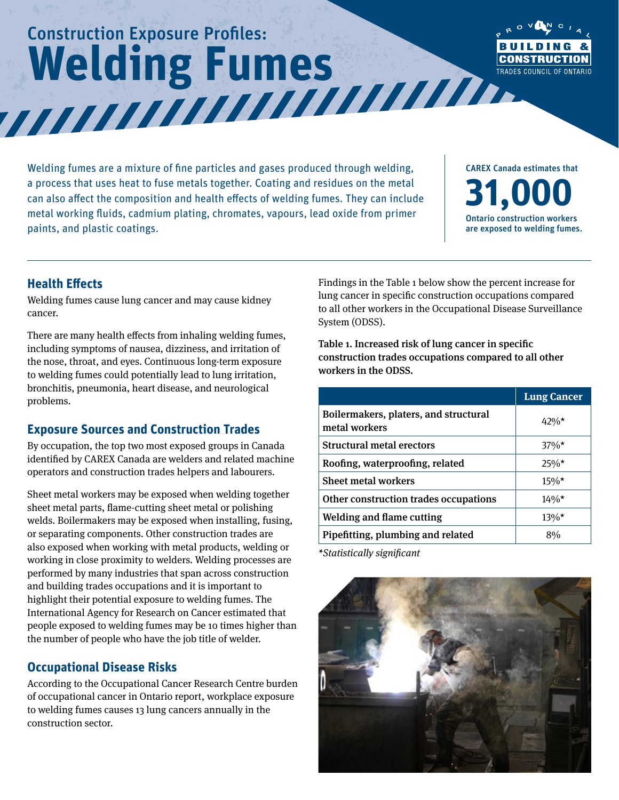# Construction Exposure Profiles: **Welding Fumes**



Welding fumes are a mixture of fine particles and gases produced through welding, a process that uses heat to fuse metals together. Coating and residues on the metal can also affect the composition and health effects of welding fumes. They can include metal working fluids, cadmium plating, chromates, vapours, lead oxide from primer paints, and plastic coatings.

CAREX Canada estimates that **31,000** Ontario construction workers are exposed to welding fumes.

#### **Health Effects**

Welding fumes cause lung cancer and may cause kidney cancer.

There are many health effects from inhaling welding fumes, including symptoms of nausea, dizziness, and irritation of the nose, throat, and eyes. Continuous long-term exposure to welding fumes could potentially lead to lung irritation, bronchitis, pneumonia, heart disease, and neurological problems.

### **Exposure Sources and Construction Trades**

By occupation, the top two most exposed groups in Canada identified by CAREX Canada are welders and related machine operators and construction trades helpers and labourers.

Sheet metal workers may be exposed when welding together sheet metal parts, flame-cutting sheet metal or polishing welds. Boilermakers may be exposed when installing, fusing, or separating components. Other construction trades are also exposed when working with metal products, welding or working in close proximity to welders. Welding processes are performed by many industries that span across construction and building trades occupations and it is important to highlight their potential exposure to welding fumes. The International Agency for Research on Cancer estimated that people exposed to welding fumes may be 10 times higher than the number of people who have the job title of welder.

#### **Occupational Disease Risks**

According to the Occupational Cancer Research Centre burden of occupational cancer in Ontario report, workplace exposure to welding fumes causes 13 lung cancers annually in the construction sector.

Findings in the Table 1 below show the percent increase for lung cancer in specific construction occupations compared to all other workers in the Occupational Disease Surveillance System (ODSS).

Table 1. Increased risk of lung cancer in specific construction trades occupations compared to all other workers in the ODSS.

|                                                        | <b>Lung Cancer</b> |
|--------------------------------------------------------|--------------------|
| Boilermakers, platers, and structural<br>metal workers | 42%*               |
| Structural metal erectors                              | $37\%$ *           |
| Roofing, waterproofing, related                        | $25\%*$            |
| <b>Sheet metal workers</b>                             | $15\%*$            |
| Other construction trades occupations                  | $14\%$ *           |
| <b>Welding and flame cutting</b>                       | $13\%*$            |
| Pipefitting, plumbing and related                      | 8%                 |

*\*Statistically significant*